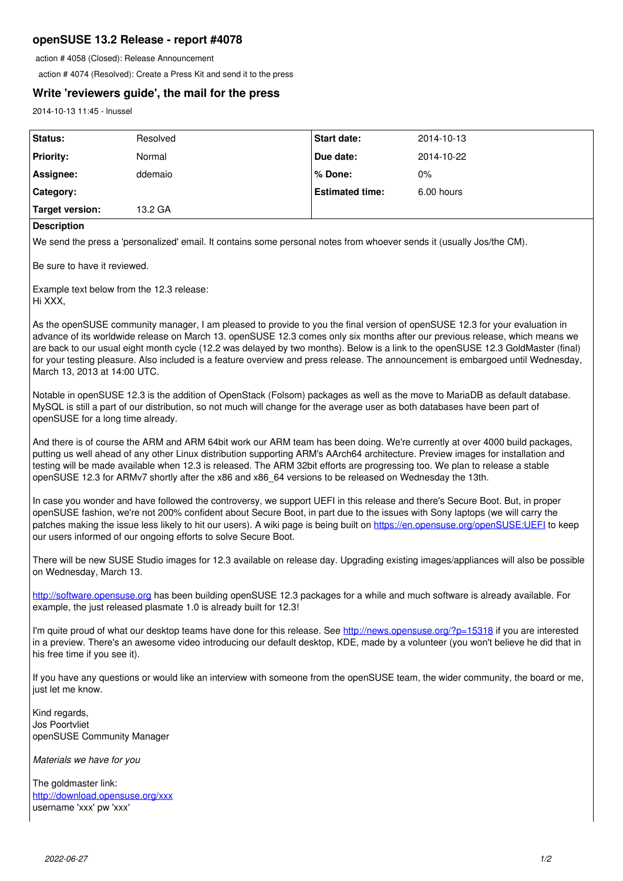# **openSUSE 13.2 Release - report #4078**

action # 4058 (Closed): Release Announcement

action # 4074 (Resolved): Create a Press Kit and send it to the press

## **Write 'reviewers guide', the mail for the press**

2014-10-13 11:45 - lnussel

| Status:          | Resolved | <b>Start date:</b>     | 2014-10-13 |
|------------------|----------|------------------------|------------|
| <b>Priority:</b> | Normal   | Due date:              | 2014-10-22 |
| Assignee:        | ddemaio  | l % Done:              | 0%         |
| Category:        |          | <b>Estimated time:</b> | 6.00 hours |
| Target version:  | 13.2 GA  |                        |            |

#### **Description**

We send the press a 'personalized' email. It contains some personal notes from whoever sends it (usually Jos/the CM).

Be sure to have it reviewed.

Example text below from the 12.3 release: Hi XXX,

As the openSUSE community manager, I am pleased to provide to you the final version of openSUSE 12.3 for your evaluation in advance of its worldwide release on March 13. openSUSE 12.3 comes only six months after our previous release, which means we are back to our usual eight month cycle (12.2 was delayed by two months). Below is a link to the openSUSE 12.3 GoldMaster (final) for your testing pleasure. Also included is a feature overview and press release. The announcement is embargoed until Wednesday, March 13, 2013 at 14:00 UTC.

Notable in openSUSE 12.3 is the addition of OpenStack (Folsom) packages as well as the move to MariaDB as default database. MySQL is still a part of our distribution, so not much will change for the average user as both databases have been part of openSUSE for a long time already.

And there is of course the ARM and ARM 64bit work our ARM team has been doing. We're currently at over 4000 build packages, putting us well ahead of any other Linux distribution supporting ARM's AArch64 architecture. Preview images for installation and testing will be made available when 12.3 is released. The ARM 32bit efforts are progressing too. We plan to release a stable openSUSE 12.3 for ARMv7 shortly after the x86 and x86\_64 versions to be released on Wednesday the 13th.

In case you wonder and have followed the controversy, we support UEFI in this release and there's Secure Boot. But, in proper openSUSE fashion, we're not 200% confident about Secure Boot, in part due to the issues with Sony laptops (we will carry the patches making the issue less likely to hit our users). A wiki page is being built on<https://en.opensuse.org/openSUSE:UEFI> to keep our users informed of our ongoing efforts to solve Secure Boot.

There will be new SUSE Studio images for 12.3 available on release day. Upgrading existing images/appliances will also be possible on Wednesday, March 13.

<http://software.opensuse.org>has been building openSUSE 12.3 packages for a while and much software is already available. For example, the just released plasmate 1.0 is already built for 12.3!

I'm quite proud of what our desktop teams have done for this release. See<http://news.opensuse.org/?p=15318> if you are interested in a preview. There's an awesome video introducing our default desktop, KDE, made by a volunteer (you won't believe he did that in his free time if you see it).

If you have any questions or would like an interview with someone from the openSUSE team, the wider community, the board or me, just let me know.

Kind regards, Jos Poortvliet openSUSE Community Manager

*Materials we have for you*

The goldmaster link: <http://download.opensuse.org/xxx> username 'xxx' pw 'xxx'